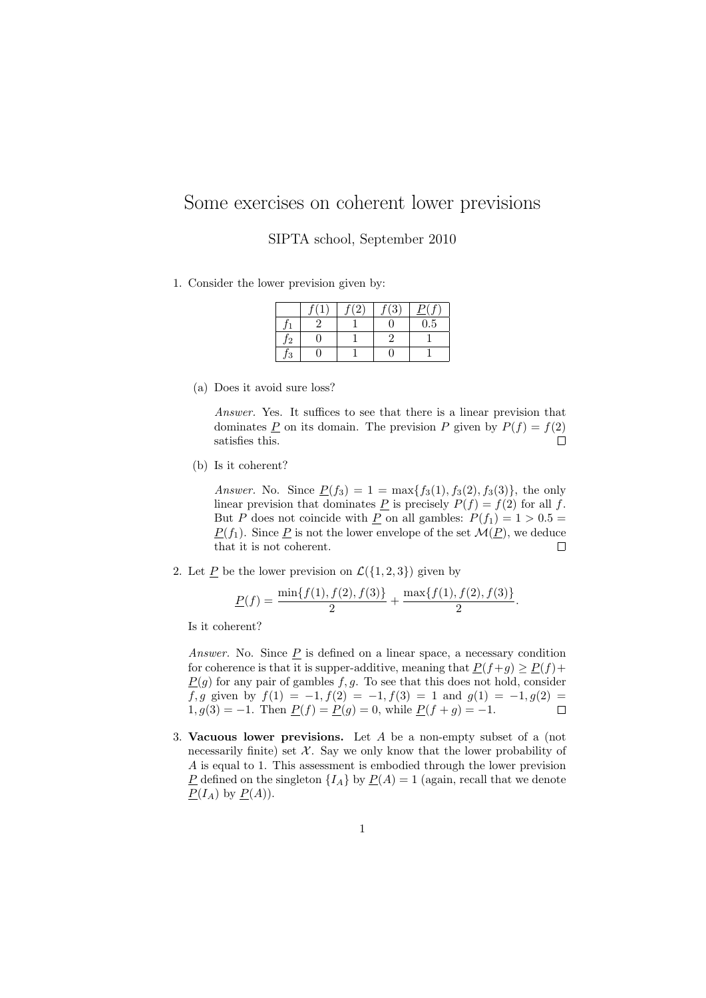## Some exercises on coherent lower previsions

SIPTA school, September 2010

1. Consider the lower prevision given by:

|        | a | $\overline{3}$ |          |
|--------|---|----------------|----------|
|        |   |                | $_{0.5}$ |
| 12     |   |                |          |
| 2<br>ð |   |                |          |

(a) Does it avoid sure loss?

Answer. Yes. It suffices to see that there is a linear prevision that dominates  $\underline{P}$  on its domain. The prevision  $P$  given by  $P(f) = f(2)$ satisfies this.  $\Box$ 

(b) Is it coherent?

Answer. No. Since  $\underline{P}(f_3) = 1 = \max\{f_3(1), f_3(2), f_3(3)\}\$ , the only linear prevision that dominates  $\underline{P}$  is precisely  $P(f) = f(2)$  for all f. But P does not coincide with <u>P</u> on all gambles:  $P(f_1) = 1 > 0.5$  $\underline{P}(f_1)$ . Since  $\underline{P}$  is not the lower envelope of the set  $\mathcal{M}(\underline{P})$ , we deduce that it is not coherent. П

2. Let  $\underline{P}$  be the lower prevision on  $\mathcal{L}(\{1,2,3\})$  given by

$$
\underline{P}(f) = \frac{\min\{f(1), f(2), f(3)\}}{2} + \frac{\max\{f(1), f(2), f(3)\}}{2}.
$$

Is it coherent?

Answer. No. Since  $\underline{P}$  is defined on a linear space, a necessary condition for coherence is that it is supper-additive, meaning that  $P(f+g) \ge P(f)$ +  $P(q)$  for any pair of gambles f, q. To see that this does not hold, consider f, g given by  $f(1) = -1$ ,  $f(2) = -1$ ,  $f(3) = 1$  and  $g(1) = -1$ ,  $g(2) =$ 1,  $g(3) = -1$ . Then  $\underline{P}(f) = \underline{P}(g) = 0$ , while  $\underline{P}(f + g) = -1$ .  $\Box$ 

3. Vacuous lower previsions. Let A be a non-empty subset of a (not necessarily finite) set  $\mathcal{X}$ . Say we only know that the lower probability of A is equal to 1. This assessment is embodied through the lower prevision P defined on the singleton  $\{I_A\}$  by  $P(A) = 1$  (again, recall that we denote  $\underline{P}(I_A)$  by  $\underline{P}(A)$ ).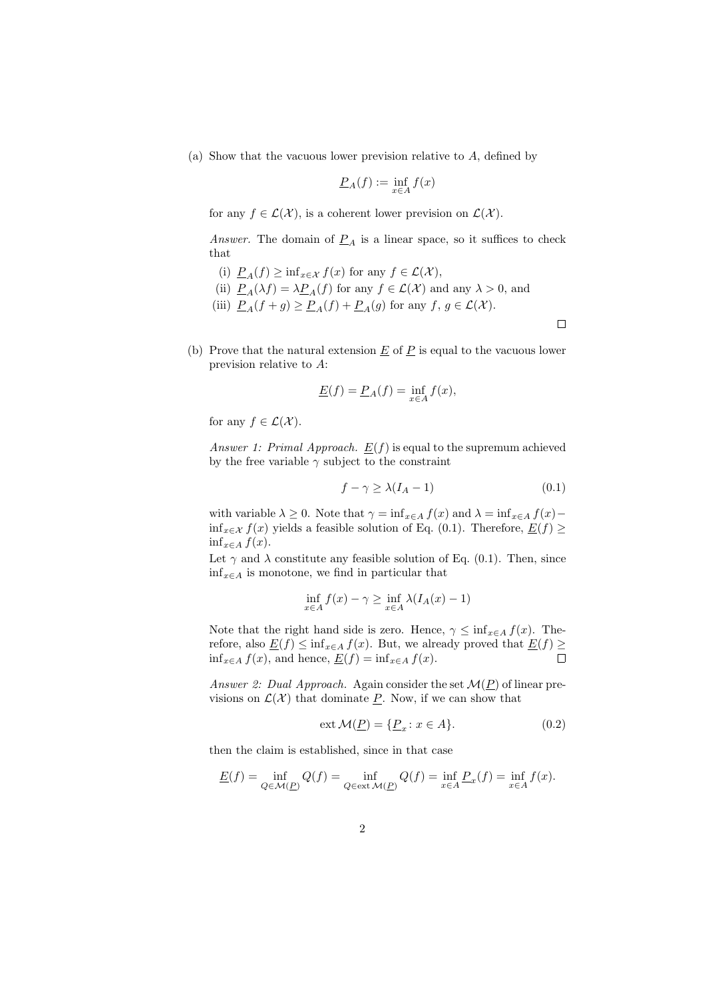(a) Show that the vacuous lower prevision relative to A, defined by

$$
\underline{P}_A(f) := \inf_{x \in A} f(x)
$$

for any  $f \in \mathcal{L}(\mathcal{X})$ , is a coherent lower prevision on  $\mathcal{L}(\mathcal{X})$ .

Answer. The domain of  $P_A$  is a linear space, so it suffices to check that

- (i)  $\underline{P}_A(f) \geq \inf_{x \in \mathcal{X}} f(x)$  for any  $f \in \mathcal{L}(\mathcal{X}),$
- (ii)  $\underline{P}_A(\lambda f) = \lambda \underline{P}_A(f)$  for any  $f \in \mathcal{L}(\mathcal{X})$  and any  $\lambda > 0$ , and
- (iii)  $\underline{P}_A(f+g) \ge \underline{P}_A(f) + \underline{P}_A(g)$  for any  $f, g \in \mathcal{L}(\mathcal{X})$ .

 $\Box$ 

(b) Prove that the natural extension  $\underline{E}$  of  $\underline{P}$  is equal to the vacuous lower prevision relative to A:

$$
\underline{E}(f) = \underline{P}_A(f) = \inf_{x \in A} f(x),
$$

for any  $f \in \mathcal{L}(\mathcal{X})$ .

Answer 1: Primal Approach.  $E(f)$  is equal to the supremum achieved by the free variable  $\gamma$  subject to the constraint

$$
f - \gamma \ge \lambda (I_A - 1) \tag{0.1}
$$

with variable  $\lambda \geq 0$ . Note that  $\gamma = \inf_{x \in A} f(x)$  and  $\lambda = \inf_{x \in A} f(x)$ inf<sub>x∈X</sub>  $f(x)$  yields a feasible solution of Eq. (0.1). Therefore,  $E(f)$  ≥  $\inf_{x \in A} f(x)$ .

Let  $\gamma$  and  $\lambda$  constitute any feasible solution of Eq. (0.1). Then, since  $\inf_{x \in A}$  is monotone, we find in particular that

$$
\inf_{x \in A} f(x) - \gamma \ge \inf_{x \in A} \lambda (I_A(x) - 1)
$$

Note that the right hand side is zero. Hence,  $\gamma \leq \inf_{x \in A} f(x)$ . Therefore, also  $\underline{E}(f) \le \inf_{x \in A} f(x)$ . But, we already proved that  $\underline{E}(f) \ge \inf_{x \in A} f(x)$ , and hence,  $E(f) = \inf_{x \in A} f(x)$ . □  $\inf_{x \in A} f(x)$ , and hence,  $\underline{E}(f) = \inf_{x \in A} f(x)$ .

Answer 2: Dual Approach. Again consider the set  $\mathcal{M}(P)$  of linear previsions on  $\mathcal{L}(\mathcal{X})$  that dominate P. Now, if we can show that

$$
\operatorname{ext} \mathcal{M}(\underline{P}) = \{ \underline{P}_x \colon x \in A \}. \tag{0.2}
$$

then the claim is established, since in that case

$$
\underline{E}(f) = \inf_{Q \in \mathcal{M}(\underline{P})} Q(f) = \inf_{Q \in \text{ext}\mathcal{M}(\underline{P})} Q(f) = \inf_{x \in A} \underline{P}_x(f) = \inf_{x \in A} f(x).
$$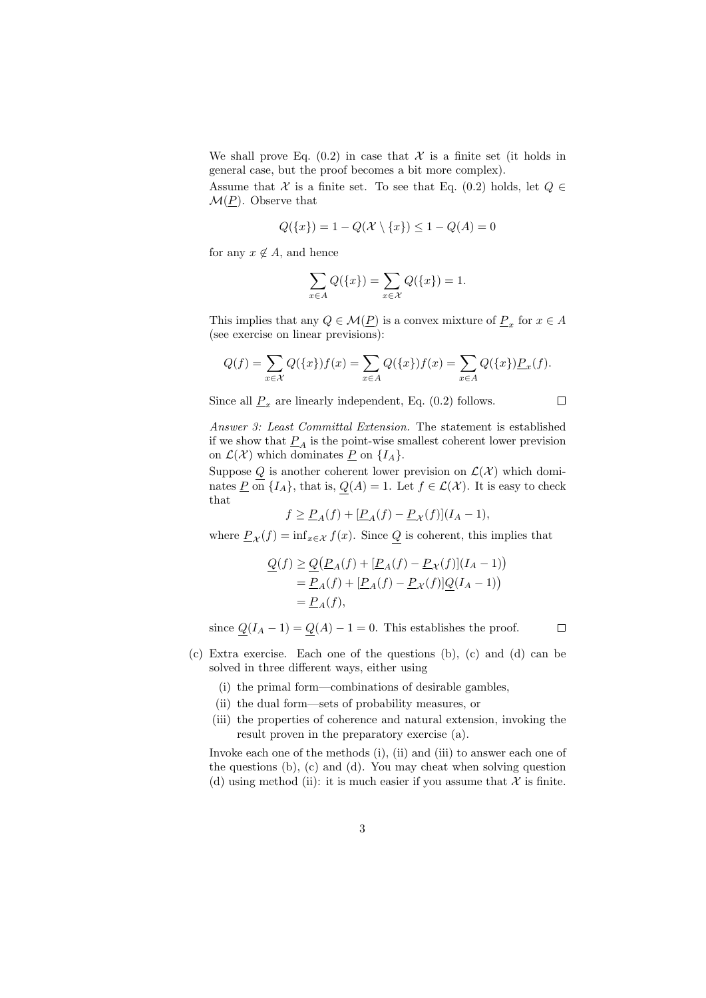We shall prove Eq.  $(0.2)$  in case that X is a finite set (it holds in general case, but the proof becomes a bit more complex).

Assume that X is a finite set. To see that Eq. (0.2) holds, let  $Q \in$  $\mathcal{M}(\underline{P})$ . Observe that

$$
Q(\{x\})=1-Q(\mathcal{X}\setminus\{x\})\leq 1-Q(A)=0
$$

for any  $x \notin A$ , and hence

$$
\sum_{x \in A} Q(\{x\}) = \sum_{x \in \mathcal{X}} Q(\{x\}) = 1.
$$

This implies that any  $Q \in \mathcal{M}(\underline{P})$  is a convex mixture of  $\underline{P}_x$  for  $x \in A$ (see exercise on linear previsions):

$$
Q(f) = \sum_{x \in \mathcal{X}} Q(\{x\}) f(x) = \sum_{x \in A} Q(\{x\}) f(x) = \sum_{x \in A} Q(\{x\}) \underline{P}_x(f).
$$

Since all  $\underline{P}_x$  are linearly independent, Eq. (0.2) follows.

 $\Box$ 

 $\Box$ 

Answer 3: Least Committal Extension. The statement is established if we show that  $P_A$  is the point-wise smallest coherent lower prevision on  $\mathcal{L}(\mathcal{X})$  which dominates  $\underline{P}$  on  $\{I_A\}.$ 

Suppose Q is another coherent lower prevision on  $\mathcal{L}(\mathcal{X})$  which dominates  $\underline{P}$  on  $\{I_A\}$ , that is,  $Q(A) = 1$ . Let  $f \in \mathcal{L}(\mathcal{X})$ . It is easy to check that

$$
f \ge \underline{P}_A(f) + [\underline{P}_A(f) - \underline{P}_{\mathcal{X}}(f)](I_A - 1),
$$

where  $\underline{P}_{\mathcal{X}}(f) = \inf_{x \in \mathcal{X}} f(x)$ . Since  $\underline{Q}$  is coherent, this implies that

$$
\begin{aligned} \mathcal{Q}(f) &\geq \mathcal{Q}\big(\mathcal{P}_A(f) + [\mathcal{P}_A(f) - \mathcal{P}_{\mathcal{X}}(f)](I_A - 1)\big) \\ &= \mathcal{P}_A(f) + [\mathcal{P}_A(f) - \mathcal{P}_{\mathcal{X}}(f)]\mathcal{Q}(I_A - 1)\big) \\ &= \mathcal{P}_A(f), \end{aligned}
$$

since  $Q(I_A - 1) = Q(A) - 1 = 0$ . This establishes the proof.

- (c) Extra exercise. Each one of the questions (b), (c) and (d) can be solved in three different ways, either using
	- (i) the primal form—combinations of desirable gambles,
	- (ii) the dual form—sets of probability measures, or
	- (iii) the properties of coherence and natural extension, invoking the result proven in the preparatory exercise (a).

Invoke each one of the methods (i), (ii) and (iii) to answer each one of the questions (b), (c) and (d). You may cheat when solving question (d) using method (ii): it is much easier if you assume that  $\mathcal X$  is finite.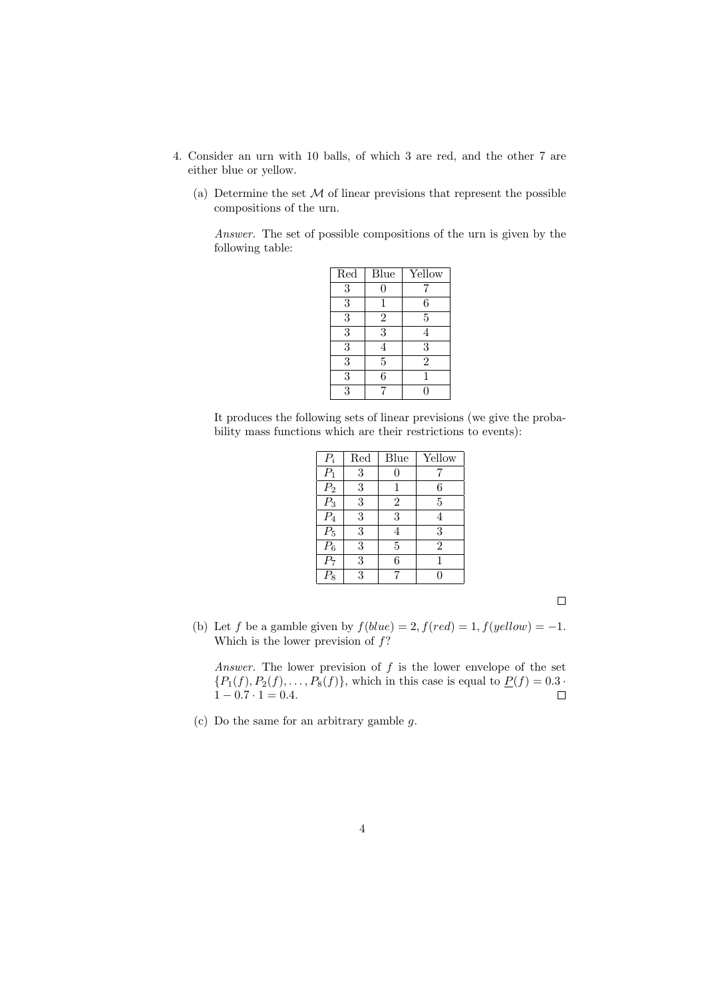- 4. Consider an urn with 10 balls, of which 3 are red, and the other 7 are either blue or yellow.
	- (a) Determine the set  $M$  of linear previsions that represent the possible compositions of the urn.

Answer. The set of possible compositions of the urn is given by the following table:

| Red            | Blue           | Yellow         |
|----------------|----------------|----------------|
| 3              |                |                |
| $\overline{3}$ | 1              | 6              |
| $\overline{3}$ | $\overline{2}$ | 5              |
| $\overline{3}$ | 3              | 4              |
| $\overline{3}$ | 4              | 3              |
| $\overline{3}$ | $\overline{5}$ | $\overline{2}$ |
| 3              | 6              |                |
| 3              |                |                |

It produces the following sets of linear previsions (we give the probability mass functions which are their restrictions to events):

| $P_i$                                   | Red | Blue           | Yellow         |
|-----------------------------------------|-----|----------------|----------------|
| $\overline{P_1}$                        | 3   | 0              |                |
| $\frac{P_2}{P_3}$                       | 3   | 1              | 6              |
|                                         | 3   | $\overline{2}$ | $\overline{5}$ |
| $\overline{P_4}$                        | 3   | 3              | 4              |
| $\overline{P_5}$                        | 3   | 4              | 3              |
|                                         | 3   | 5              | $\overline{2}$ |
| $\frac{\overline{P_6}}{\overline{P_7}}$ | 3   | 6              | 1              |
| $P_8$                                   | 3   |                | 0              |

 $\Box$ 

(b) Let f be a gamble given by  $f(blue) = 2, f(\text{red}) = 1, f(\text{yellow}) = -1.$ Which is the lower prevision of  $f$ ?

Answer. The lower prevision of  $f$  is the lower envelope of the set  ${P_1(f), P_2(f), \ldots, P_8(f)}$ , which in this case is equal to  $\underline{P(f)} = 0.3 \cdot$  $1 - 0.7 \cdot 1 = 0.4.$  $\Box$ 

(c) Do the same for an arbitrary gamble g.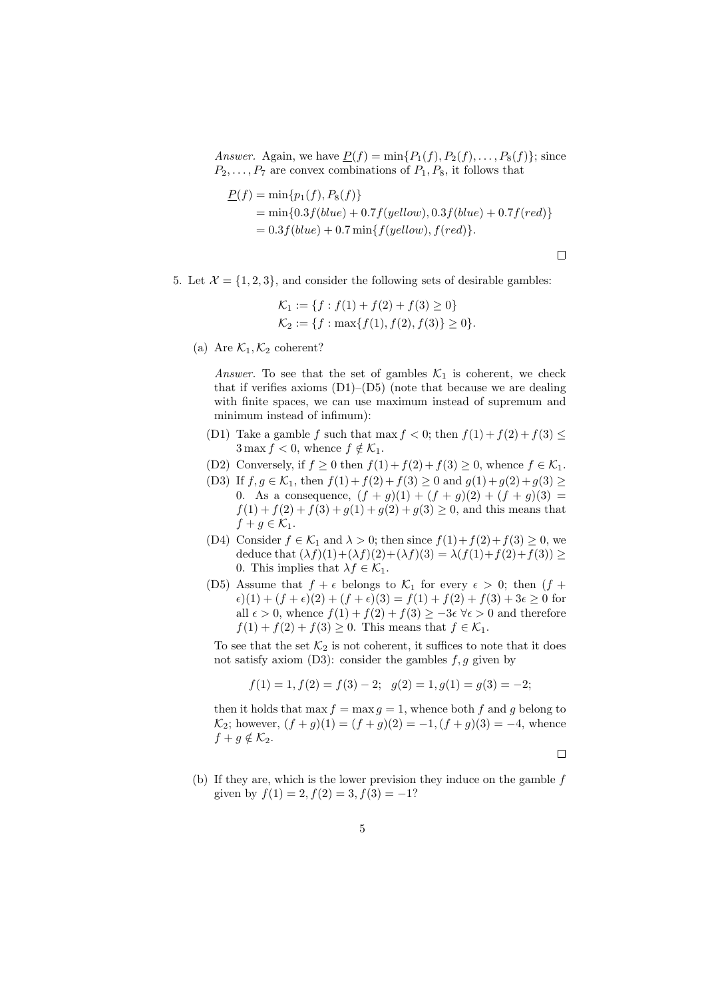Answer. Again, we have  $\underline{P}(f) = \min\{P_1(f), P_2(f), \ldots, P_8(f)\}$ ; since  $P_2, \ldots, P_7$  are convex combinations of  $P_1, P_8$ , it follows that

$$
\underline{P}(f) = \min\{p_1(f), P_8(f)\}\
$$
  
= min{0.3f(blue) + 0.7f(yellow), 0.3f(blue) + 0.7f(red)}  
= 0.3f(blue) + 0.7 min{f(yellow), f(red)}.

 $\Box$ 

5. Let  $\mathcal{X} = \{1, 2, 3\}$ , and consider the following sets of desirable gambles:

$$
\mathcal{K}_1 := \{ f : f(1) + f(2) + f(3) \ge 0 \}
$$
  

$$
\mathcal{K}_2 := \{ f : \max\{ f(1), f(2), f(3) \} \ge 0 \}.
$$

(a) Are  $\mathcal{K}_1, \mathcal{K}_2$  coherent?

Answer. To see that the set of gambles  $\mathcal{K}_1$  is coherent, we check that if verifies axioms  $(D1)$ – $(D5)$  (note that because we are dealing with finite spaces, we can use maximum instead of supremum and minimum instead of infimum):

- (D1) Take a gamble f such that max  $f < 0$ ; then  $f(1) + f(2) + f(3) \le$  $3 \max f < 0$ , whence  $f \notin \mathcal{K}_1$ .
- (D2) Conversely, if  $f \ge 0$  then  $f(1) + f(2) + f(3) \ge 0$ , whence  $f \in \mathcal{K}_1$ .
- (D3) If  $f,g\in \mathcal{K}_1$ , then  $f(1)+f(2)+f(3)\geq 0$  and  $g(1)+g(2)+g(3)\geq 0$ 0. As a consequence,  $(f + g)(1) + (f + g)(2) + (f + g)(3) =$  $f(1) + f(2) + f(3) + g(1) + g(2) + g(3) \ge 0$ , and this means that  $f + g \in \mathcal{K}_1$ .
- (D4) Consider  $f \in \mathcal{K}_1$  and  $\lambda > 0$ ; then since  $f(1) + f(2) + f(3) \geq 0$ , we deduce that  $(\lambda f)(1) + (\lambda f)(2) + (\lambda f)(3) = \lambda (f(1) + f(2) + f(3)) \ge$ 0. This implies that  $\lambda f \in \mathcal{K}_1$ .
- (D5) Assume that  $f + \epsilon$  belongs to  $\mathcal{K}_1$  for every  $\epsilon > 0$ ; then  $(f +$  $\epsilon$ (1) +  $(f + \epsilon)$ (2) +  $(f + \epsilon)$ (3) =  $f(1) + f(2) + f(3) + 3\epsilon \ge 0$  for all  $\epsilon > 0$ , whence  $f(1) + f(2) + f(3) \geq -3\epsilon \ \forall \epsilon > 0$  and therefore  $f(1) + f(2) + f(3) \geq 0$ . This means that  $f \in \mathcal{K}_1$ .

To see that the set  $\mathcal{K}_2$  is not coherent, it suffices to note that it does not satisfy axiom  $(D3)$ : consider the gambles  $f, g$  given by

$$
f(1) = 1, f(2) = f(3) - 2;
$$
  $g(2) = 1, g(1) = g(3) = -2;$ 

then it holds that max  $f = \max q = 1$ , whence both f and g belong to  $\mathcal{K}_2$ ; however,  $(f+g)(1) = (f+g)(2) = -1$ ,  $(f+g)(3) = -4$ , whence  $f + g \notin \mathcal{K}_2$ .

 $\Box$ 

(b) If they are, which is the lower prevision they induce on the gamble f given by  $f(1) = 2$ ,  $f(2) = 3$ ,  $f(3) = -1$ ?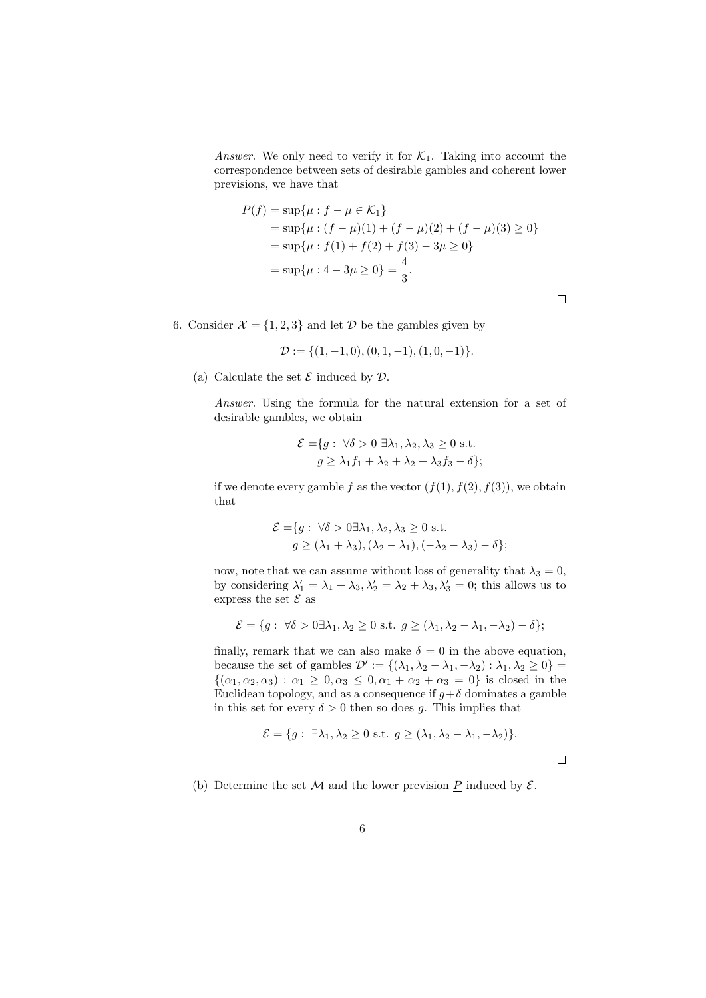Answer. We only need to verify it for  $\mathcal{K}_1$ . Taking into account the correspondence between sets of desirable gambles and coherent lower previsions, we have that

$$
\underline{P}(f) = \sup \{ \mu : f - \mu \in \mathcal{K}_1 \}
$$
  
=  $\sup \{ \mu : (f - \mu)(1) + (f - \mu)(2) + (f - \mu)(3) \ge 0 \}$   
=  $\sup \{ \mu : f(1) + f(2) + f(3) - 3\mu \ge 0 \}$   
=  $\sup \{ \mu : 4 - 3\mu \ge 0 \} = \frac{4}{3}.$ 

 $\Box$ 

 $\Box$ 

6. Consider  $\mathcal{X} = \{1, 2, 3\}$  and let  $\mathcal{D}$  be the gambles given by

$$
\mathcal{D} := \{ (1, -1, 0), (0, 1, -1), (1, 0, -1) \}.
$$

(a) Calculate the set  $\mathcal E$  induced by  $\mathcal D$ .

Answer. Using the formula for the natural extension for a set of desirable gambles, we obtain

$$
\mathcal{E} = \{ g : \forall \delta > 0 \exists \lambda_1, \lambda_2, \lambda_3 \ge 0 \text{ s.t.}
$$

$$
g \ge \lambda_1 f_1 + \lambda_2 + \lambda_2 + \lambda_3 f_3 - \delta \};
$$

if we denote every gamble f as the vector  $(f(1), f(2), f(3))$ , we obtain that

$$
\mathcal{E} = \{ g : \forall \delta > 0 \exists \lambda_1, \lambda_2, \lambda_3 \ge 0 \text{ s.t.}
$$

$$
g \ge (\lambda_1 + \lambda_3), (\lambda_2 - \lambda_1), (-\lambda_2 - \lambda_3) - \delta \};
$$

now, note that we can assume without loss of generality that  $\lambda_3=0,$ by considering  $\lambda'_1 = \lambda_1 + \lambda_3, \lambda'_2 = \lambda_2 + \lambda_3, \lambda'_3 = 0$ ; this allows us to express the set  ${\mathcal E}$  as

$$
\mathcal{E} = \{ g : \forall \delta > 0 \exists \lambda_1, \lambda_2 \ge 0 \text{ s.t. } g \ge (\lambda_1, \lambda_2 - \lambda_1, -\lambda_2) - \delta \};
$$

finally, remark that we can also make  $\delta = 0$  in the above equation, because the set of gambles  $\mathcal{D}' := \{(\lambda_1, \lambda_2 - \lambda_1, -\lambda_2) : \lambda_1, \lambda_2 \geq 0\}$  $\{(\alpha_1, \alpha_2, \alpha_3) : \alpha_1 \geq 0, \alpha_3 \leq 0, \alpha_1 + \alpha_2 + \alpha_3 = 0\}$  is closed in the Euclidean topology, and as a consequence if  $q+\delta$  dominates a gamble in this set for every  $\delta > 0$  then so does g. This implies that

$$
\mathcal{E} = \{g: \exists \lambda_1, \lambda_2 \ge 0 \text{ s.t. } g \ge (\lambda_1, \lambda_2 - \lambda_1, -\lambda_2)\}.
$$

(b) Determine the set  $M$  and the lower prevision  $\underline{P}$  induced by  $\mathcal{E}$ .